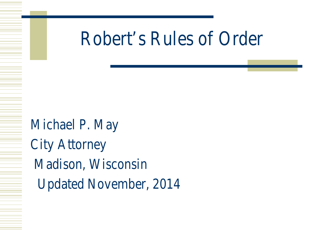### Robert's Rules of Order

Michael P. May City Attorney Madison, Wisconsin Updated November, 2014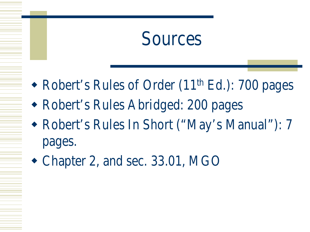#### Sources

- Robert's Rules of Order (11<sup>th</sup> Ed.): 700 pages
- Robert's Rules Abridged: 200 pages
- Robert's Rules In Short ("May's Manual"): 7 pages.
- Chapter 2, and sec. 33.01, MGO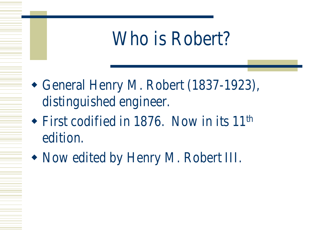#### Who is Robert?

- General Henry M. Robert (1837-1923), distinguished engineer.
- $\triangle$  First codified in 1876. Now in its 11<sup>th</sup> edition.
- Now edited by Henry M. Robert III.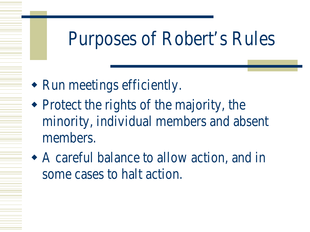### Purposes of Robert's Rules

- Run meetings efficiently.
- Protect the rights of the majority, the minority, individual members and absent members.
- A careful balance to allow action, and in some cases to halt action.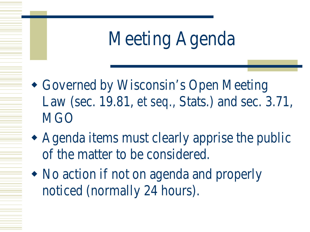# Meeting Agenda

- Governed by Wisconsin's Open Meeting Law (sec. 19.81, *et seq.,* Stats.) and sec. 3.71, **MGO**
- Agenda items must clearly apprise the public of the matter to be considered.
- No action if not on agenda and properly noticed (normally 24 hours).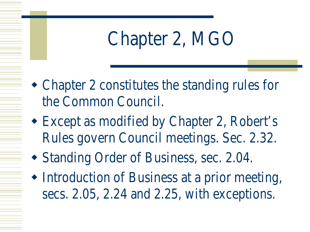# Chapter 2, MGO

- Chapter 2 constitutes the standing rules for the Common Council.
- Except as modified by Chapter 2, Robert's Rules govern Council meetings. Sec. 2.32.
- Standing Order of Business, sec. 2.04.
- Introduction of Business at a prior meeting, secs. 2.05, 2.24 and 2.25, with exceptions.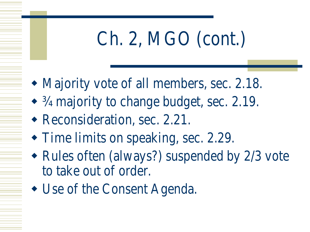# Ch. 2, MGO (cont.)

- Majority vote of all members, sec. 2.18.
- $\frac{3}{4}$  majority to change budget, sec. 2.19.
- Reconsideration, sec. 2.21.
- Time limits on speaking, sec. 2.29.
- Rules often (always?) suspended by 2/3 vote to take out of order.
- Use of the Consent Agenda.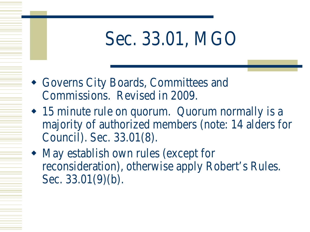### Sec. 33.01, MGO

- Governs City Boards, Committees and Commissions. Revised in 2009.
- 15 minute rule on quorum. Quorum normally is a majority of authorized members (note: 14 alders for Council). Sec. 33.01(8).
- May establish own rules (except for reconsideration), otherwise apply Robert's Rules. Sec. 33.01(9)(b).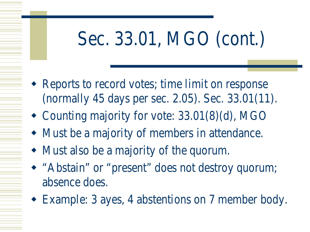# Sec. 33.01, MGO (cont.)

- Reports to record votes; time limit on response (normally 45 days per sec. 2.05). Sec. 33.01(11).
- Counting majority for vote: 33.01(8)(d), MGO
- Must be a majority of members in attendance.
- Must also be a majority of the quorum.
- "Abstain" or "present" does not destroy quorum; absence does.
- Example: 3 ayes, 4 abstentions on 7 member body.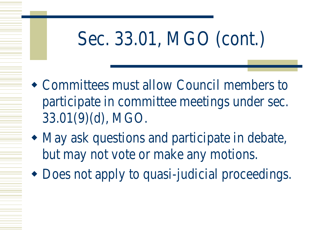# Sec. 33.01, MGO (cont.)

- Committees must allow Council members to participate in committee meetings under sec. 33.01(9)(d), MGO.
- May ask questions and participate in debate, but may not vote or make any motions.
- Does not apply to quasi-judicial proceedings.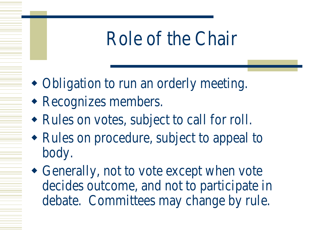### Role of the Chair

- Obligation to run an orderly meeting.
- Recognizes members.
- Rules on votes, subject to call for roll.
- Rules on procedure, subject to appeal to body.
- Generally, not to vote except when vote decides outcome, and not to participate in debate. Committees may change by rule.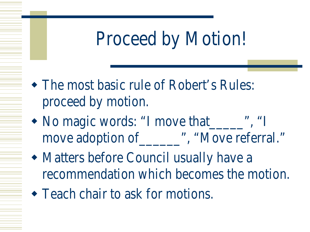# Proceed by Motion!

- The most basic rule of Robert's Rules: proceed by motion.
- No magic words: "I move that ", "I move adoption of \_\_\_\_\_\_\_", "Move referral."
- Matters before Council usually have a recommendation which becomes the motion.
- Teach chair to ask for motions.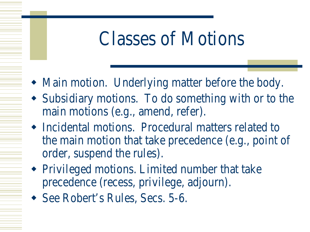#### Classes of Motions

- Main motion. Underlying matter before the body.
- Subsidiary motions. To do something with or to the main motions (e.g., amend, refer).
- Incidental motions. Procedural matters related to the main motion that take precedence (e.g., point of order, suspend the rules).
- Privileged motions. Limited number that take precedence (recess, privilege, adjourn).
- See Robert's Rules, Secs. 5-6.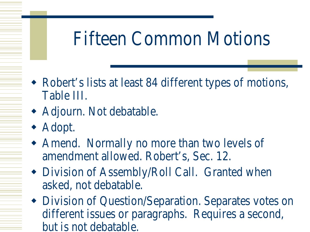## Fifteen Common Motions

- Robert's lists at least 84 different types of motions, Table III.
- Adjourn. Not debatable.
- Adopt.
- Amend. Normally no more than two levels of amendment allowed. Robert's, Sec. 12.
- Division of Assembly/Roll Call. Granted when asked, not debatable.
- Division of Question/Separation. Separates votes on different issues or paragraphs. Requires a second, but is not debatable.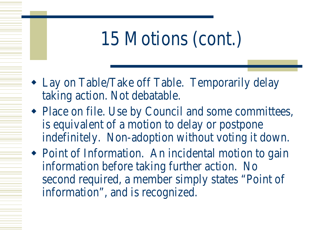## 15 Motions (cont.)

- Lay on Table/Take off Table. Temporarily delay taking action. Not debatable.
- Place on file. Use by Council and some committees, is equivalent of a motion to delay or postpone indefinitely. Non-adoption without voting it down.
- Point of Information. An incidental motion to gain information before taking further action. No second required, a member simply states "Point of information", and is recognized.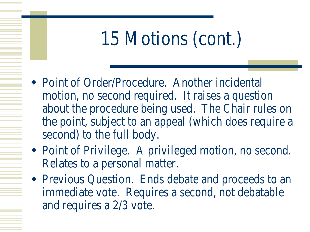# 15 Motions (cont.)

- Point of Order/Procedure. Another incidental motion, no second required. It raises a question about the procedure being used. The Chair rules on the point, subject to an appeal (which does require a second) to the full body.
- Point of Privilege. A privileged motion, no second. Relates to a personal matter.
- Previous Question. Ends debate and proceeds to an immediate vote. Requires a second, not debatable and requires a 2/3 vote.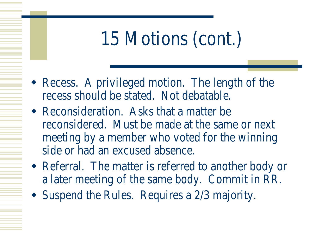# 15 Motions (cont.)

- Recess. A privileged motion. The length of the recess should be stated. Not debatable.
- Reconsideration. Asks that a matter be reconsidered. Must be made at the same or next meeting by a member who voted for the winning side or had an excused absence.
- Referral. The matter is referred to another body or a later meeting of the same body. Commit in RR.
- Suspend the Rules. Requires a 2/3 majority.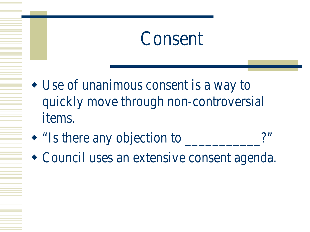#### Consent

- Use of unanimous consent is a way to quickly move through non-controversial items.
- "Is there any objection to  $\blacksquare$
- Council uses an extensive consent agenda.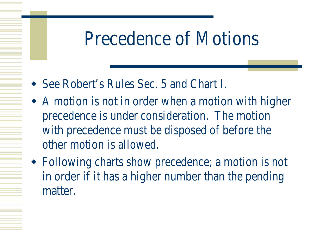#### Precedence of Motions

- See Robert's Rules Sec. 5 and Chart I.
- A motion is not in order when a motion with higher precedence is under consideration. The motion with precedence must be disposed of before the other motion is allowed.
- Following charts show precedence; a motion is not in order if it has a higher number than the pending matter.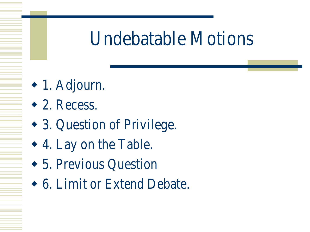#### Undebatable Motions

- 1. Adjourn.
- 2. Recess.
- 3. Question of Privilege.
- 4. Lay on the Table.
- 5. Previous Question
- 6. Limit or Extend Debate.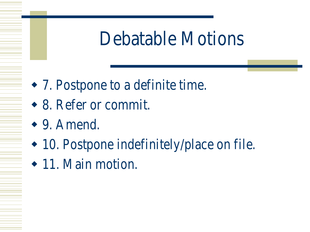### Debatable Motions

- 7. Postpone to a definite time.
- 8. Refer or commit.
- 9. Amend.
- 10. Postpone indefinitely/place on file.
- 11. Main motion.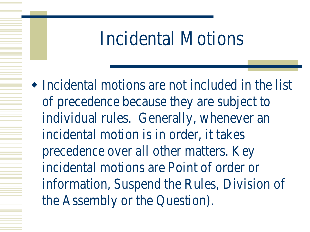#### Incidental Motions

 Incidental motions are not included in the list of precedence because they are subject to individual rules. Generally, whenever an incidental motion is in order, it takes precedence over all other matters. Key incidental motions are Point of order or information, Suspend the Rules, Division of the Assembly or the Question).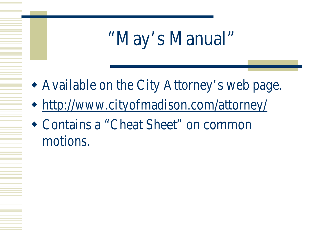# "May's Manual"

- Available on the City Attorney's web page.
- <http://www.cityofmadison.com/attorney/>
- Contains a "Cheat Sheet" on common motions.